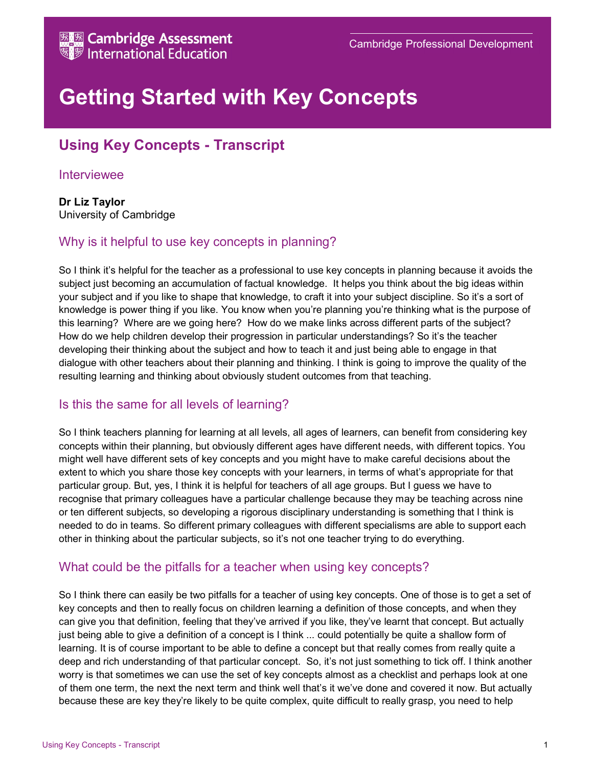

# Getting Started with Key Concepts

## Using Key Concepts - Transcript

#### Interviewee

#### Dr Liz Taylor University of Cambridge

## Why is it helpful to use key concepts in planning?

So I think it's helpful for the teacher as a professional to use key concepts in planning because it avoids the subject just becoming an accumulation of factual knowledge. It helps you think about the big ideas within your subject and if you like to shape that knowledge, to craft it into your subject discipline. So it's a sort of knowledge is power thing if you like. You know when you're planning you're thinking what is the purpose of this learning? Where are we going here? How do we make links across different parts of the subject? How do we help children develop their progression in particular understandings? So it's the teacher developing their thinking about the subject and how to teach it and just being able to engage in that dialogue with other teachers about their planning and thinking. I think is going to improve the quality of the resulting learning and thinking about obviously student outcomes from that teaching.

#### Is this the same for all levels of learning?

So I think teachers planning for learning at all levels, all ages of learners, can benefit from considering key concepts within their planning, but obviously different ages have different needs, with different topics. You might well have different sets of key concepts and you might have to make careful decisions about the extent to which you share those key concepts with your learners, in terms of what's appropriate for that particular group. But, yes, I think it is helpful for teachers of all age groups. But I guess we have to recognise that primary colleagues have a particular challenge because they may be teaching across nine or ten different subjects, so developing a rigorous disciplinary understanding is something that I think is needed to do in teams. So different primary colleagues with different specialisms are able to support each other in thinking about the particular subjects, so it's not one teacher trying to do everything.

#### What could be the pitfalls for a teacher when using key concepts?

So I think there can easily be two pitfalls for a teacher of using key concepts. One of those is to get a set of key concepts and then to really focus on children learning a definition of those concepts, and when they can give you that definition, feeling that they've arrived if you like, they've learnt that concept. But actually just being able to give a definition of a concept is I think ... could potentially be quite a shallow form of learning. It is of course important to be able to define a concept but that really comes from really quite a deep and rich understanding of that particular concept. So, it's not just something to tick off. I think another worry is that sometimes we can use the set of key concepts almost as a checklist and perhaps look at one of them one term, the next the next term and think well that's it we've done and covered it now. But actually because these are key they're likely to be quite complex, quite difficult to really grasp, you need to help